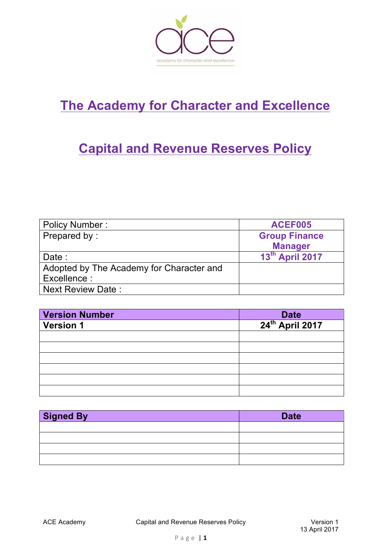

# **The Academy for Character and Excellence**

## **Capital and Revenue Reserves Policy**

| <b>Policy Number:</b>                    | ACEF005              |
|------------------------------------------|----------------------|
| Prepared by:                             | <b>Group Finance</b> |
|                                          | <b>Manager</b>       |
| Date:                                    | 13th April 2017      |
| Adopted by The Academy for Character and |                      |
| Excellence:                              |                      |
| <b>Next Review Date:</b>                 |                      |

| <b>Version Number</b> |                                     |
|-----------------------|-------------------------------------|
| <b>Version 1</b>      | Date<br>24 <sup>th</sup> April 2017 |
|                       |                                     |
|                       |                                     |
|                       |                                     |
|                       |                                     |
|                       |                                     |
|                       |                                     |

| <b>Signed By</b> | <b>Date</b> |
|------------------|-------------|
|                  |             |
|                  |             |
|                  |             |
|                  |             |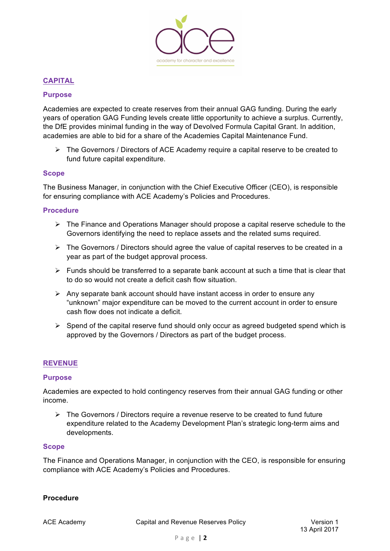

## **CAPITAL**

#### **Purpose**

Academies are expected to create reserves from their annual GAG funding. During the early years of operation GAG Funding levels create little opportunity to achieve a surplus. Currently, the DfE provides minimal funding in the way of Devolved Formula Capital Grant. In addition, academies are able to bid for a share of the Academies Capital Maintenance Fund.

 $\triangleright$  The Governors / Directors of ACE Academy require a capital reserve to be created to fund future capital expenditure.

#### **Scope**

The Business Manager, in conjunction with the Chief Executive Officer (CEO), is responsible for ensuring compliance with ACE Academy's Policies and Procedures.

#### **Procedure**

- $\triangleright$  The Finance and Operations Manager should propose a capital reserve schedule to the Governors identifying the need to replace assets and the related sums required.
- $\triangleright$  The Governors / Directors should agree the value of capital reserves to be created in a year as part of the budget approval process.
- $\triangleright$  Funds should be transferred to a separate bank account at such a time that is clear that to do so would not create a deficit cash flow situation.
- $\triangleright$  Any separate bank account should have instant access in order to ensure any "unknown" major expenditure can be moved to the current account in order to ensure cash flow does not indicate a deficit.
- $\triangleright$  Spend of the capital reserve fund should only occur as agreed budgeted spend which is approved by the Governors / Directors as part of the budget process.

### **REVENUE**

#### **Purpose**

Academies are expected to hold contingency reserves from their annual GAG funding or other income.

 $\triangleright$  The Governors / Directors require a revenue reserve to be created to fund future expenditure related to the Academy Development Plan's strategic long-term aims and developments.

#### **Scope**

The Finance and Operations Manager, in conjunction with the CEO, is responsible for ensuring compliance with ACE Academy's Policies and Procedures.

#### **Procedure**